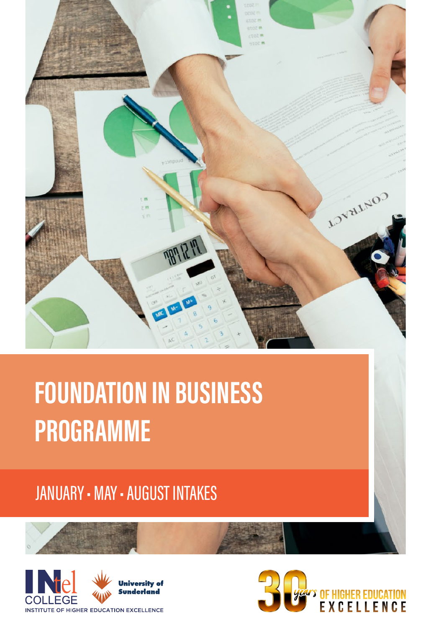

# **FOUNDATION IN BUSINESS** PROGRAMME

## **JANUARY - MAY - AUGUST INTAKES**



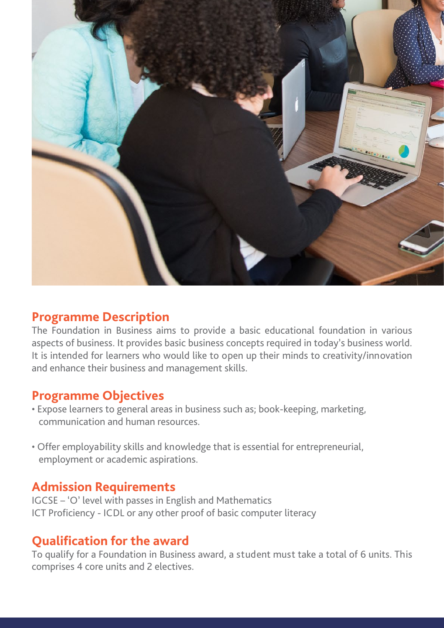

#### **Programme Description**

The Foundation in Business aims to provide a basic educational foundation in various aspects of business. It provides basic business concepts required in today's business world. It is intended for learners who would like to open up their minds to creativity/innovation and enhance their business and management skills.

#### **Programme Objectives**

- Expose learners to general areas in business such as; book-keeping, marketing, communication and human resources.
- Offer employability skills and knowledge that is essential for entrepreneurial, employment or academic aspirations.

#### **Admission Requirements**

IGCSE – 'O' level with passes in English and Mathematics ICT Proficiency - ICDL or any other proof of basic computer literacy

#### **Qualification for the award**

To qualify for a Foundation in Business award, a student must take a total of 6 units. This comprises 4 core units and 2 electives.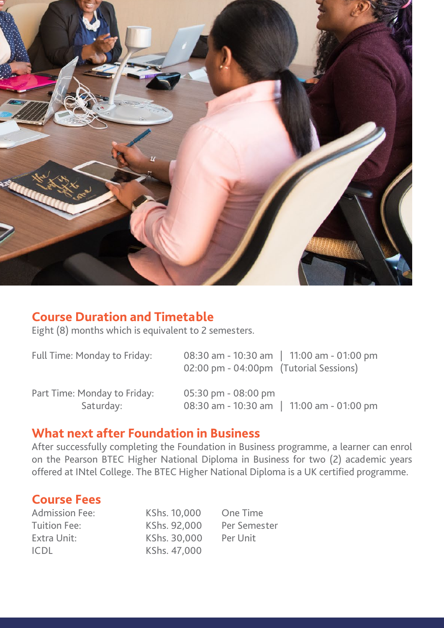

#### **Course Duration and Timetable**

Eight (8) months which is equivalent to 2 semesters.

| Full Time: Monday to Friday: | 08:30 am - 10:30 am   11:00 am - 01:00 pm<br>02:00 pm - 04:00pm (Tutorial Sessions) |
|------------------------------|-------------------------------------------------------------------------------------|
| Part Time: Monday to Friday: | $05:30 \text{ pm} - 08:00 \text{ pm}$                                               |
| Saturday:                    | 08:30 am - 10:30 am   11:00 am - 01:00 pm                                           |

#### **What next after Foundation in Business**

After successfully completing the Foundation in Business programme, a learner can enrol on the Pearson BTEC Higher National Diploma in Business for two (2) academic years offered at INtel College. The BTEC Higher National Diploma is a UK certified programme.

#### **Course Fees**

Tuition Fee: KShs. 92,000 Per Semester Extra Unit: KShs. 30,000 Per Unit ICDL KShs. 47,000

Admission Fee: KShs. 10,000 One Time